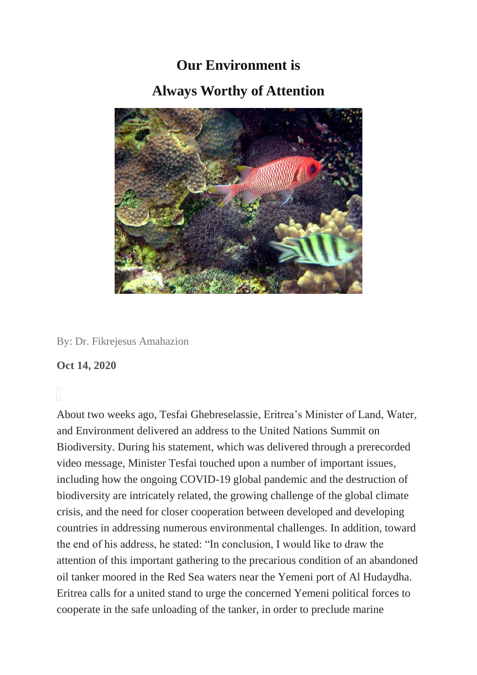## **Our Environment is Always Worthy of Attention**



## By: Dr. Fikrejesus Amahazion

## **Oct 14, 2020**

About two weeks ago, Tesfai Ghebreselassie, Eritrea's Minister of Land, Water, and Environment delivered an address to the United Nations Summit on Biodiversity. During his statement, which was delivered through a prerecorded video message, Minister Tesfai touched upon a number of important issues, including how the ongoing COVID-19 global pandemic and the destruction of biodiversity are intricately related, the growing challenge of the global climate crisis, and the need for closer cooperation between developed and developing countries in addressing numerous environmental challenges. In addition, toward the end of his address, he stated: "In conclusion, I would like to draw the attention of this important gathering to the precarious condition of an abandoned oil tanker moored in the Red Sea waters near the Yemeni port of Al Hudaydha. Eritrea calls for a united stand to urge the concerned Yemeni political forces to cooperate in the safe unloading of the tanker, in order to preclude marine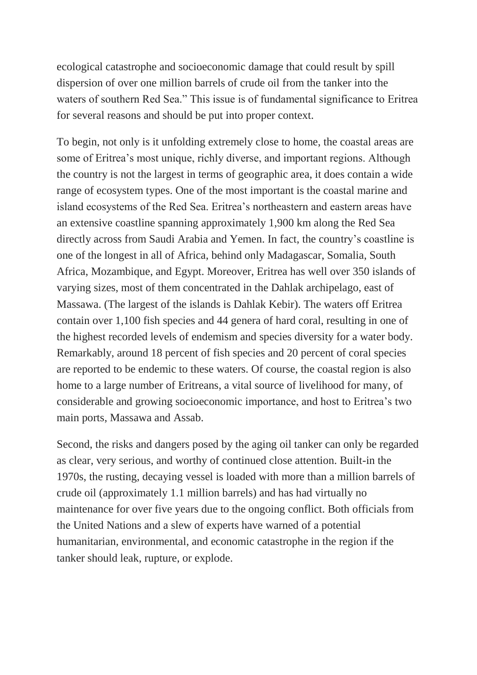ecological catastrophe and socioeconomic damage that could result by spill dispersion of over one million barrels of crude oil from the tanker into the waters of southern Red Sea." This issue is of fundamental significance to Eritrea for several reasons and should be put into proper context.

To begin, not only is it unfolding extremely close to home, the coastal areas are some of Eritrea's most unique, richly diverse, and important regions. Although the country is not the largest in terms of geographic area, it does contain a wide range of ecosystem types. One of the most important is the coastal marine and island ecosystems of the Red Sea. Eritrea's northeastern and eastern areas have an extensive coastline spanning approximately 1,900 km along the Red Sea directly across from Saudi Arabia and Yemen. In fact, the country's coastline is one of the longest in all of Africa, behind only Madagascar, Somalia, South Africa, Mozambique, and Egypt. Moreover, Eritrea has well over 350 islands of varying sizes, most of them concentrated in the Dahlak archipelago, east of Massawa. (The largest of the islands is Dahlak Kebir). The waters off Eritrea contain over 1,100 fish species and 44 genera of hard coral, resulting in one of the highest recorded levels of endemism and species diversity for a water body. Remarkably, around 18 percent of fish species and 20 percent of coral species are reported to be endemic to these waters. Of course, the coastal region is also home to a large number of Eritreans, a vital source of livelihood for many, of considerable and growing socioeconomic importance, and host to Eritrea's two main ports, Massawa and Assab.

Second, the risks and dangers posed by the aging oil tanker can only be regarded as clear, very serious, and worthy of continued close attention. Built-in the 1970s, the rusting, decaying vessel is loaded with more than a million barrels of crude oil (approximately 1.1 million barrels) and has had virtually no maintenance for over five years due to the ongoing conflict. Both officials from the United Nations and a slew of experts have warned of a potential humanitarian, environmental, and economic catastrophe in the region if the tanker should leak, rupture, or explode.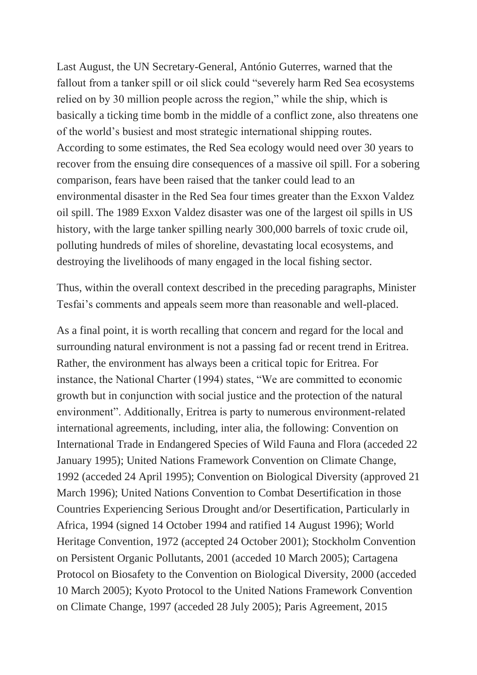Last August, the UN Secretary-General, António Guterres, warned that the fallout from a tanker spill or oil slick could "severely harm Red Sea ecosystems relied on by 30 million people across the region," while the ship, which is basically a ticking time bomb in the middle of a conflict zone, also threatens one of the world's busiest and most strategic international shipping routes. According to some estimates, the Red Sea ecology would need over 30 years to recover from the ensuing dire consequences of a massive oil spill. For a sobering comparison, fears have been raised that the tanker could lead to an environmental disaster in the Red Sea four times greater than the Exxon Valdez oil spill. The 1989 Exxon Valdez disaster was one of the largest oil spills in US history, with the large tanker spilling nearly 300,000 barrels of toxic crude oil, polluting hundreds of miles of shoreline, devastating local ecosystems, and destroying the livelihoods of many engaged in the local fishing sector.

Thus, within the overall context described in the preceding paragraphs, Minister Tesfai's comments and appeals seem more than reasonable and well-placed.

As a final point, it is worth recalling that concern and regard for the local and surrounding natural environment is not a passing fad or recent trend in Eritrea. Rather, the environment has always been a critical topic for Eritrea. For instance, the National Charter (1994) states, "We are committed to economic growth but in conjunction with social justice and the protection of the natural environment". Additionally, Eritrea is party to numerous environment-related international agreements, including, inter alia, the following: Convention on International Trade in Endangered Species of Wild Fauna and Flora (acceded 22 January 1995); United Nations Framework Convention on Climate Change, 1992 (acceded 24 April 1995); Convention on Biological Diversity (approved 21 March 1996); United Nations Convention to Combat Desertification in those Countries Experiencing Serious Drought and/or Desertification, Particularly in Africa, 1994 (signed 14 October 1994 and ratified 14 August 1996); World Heritage Convention, 1972 (accepted 24 October 2001); Stockholm Convention on Persistent Organic Pollutants, 2001 (acceded 10 March 2005); Cartagena Protocol on Biosafety to the Convention on Biological Diversity, 2000 (acceded 10 March 2005); Kyoto Protocol to the United Nations Framework Convention on Climate Change, 1997 (acceded 28 July 2005); Paris Agreement, 2015